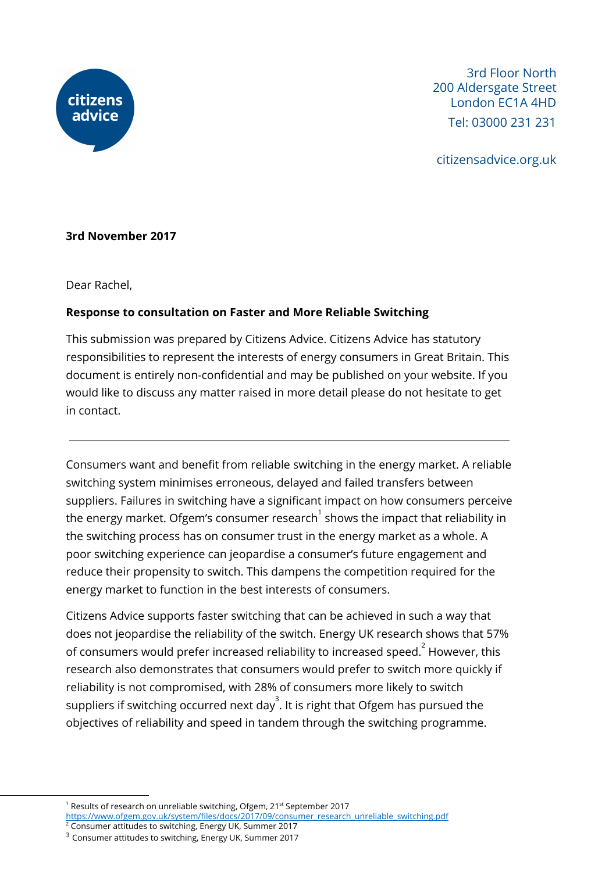

3rd Floor North 200 Aldersgate Street London EC1A 4HD Tel: 03000 231 231

citizensadvice.org.uk

#### **3rd November 2017**

Dear Rachel,

#### **Response to consultation on Faster and More Reliable Switching**

This submission was prepared by Citizens Advice. Citizens Advice has statutory responsibilities to represent the interests of energy consumers in Great Britain. This document is entirely non-confidential and may be published on your website. If you would like to discuss any matter raised in more detail please do not hesitate to get in contact.

Consumers want and benefit from reliable switching in the energy market. A reliable switching system minimises erroneous, delayed and failed transfers between suppliers. Failures in switching have a significant impact on how consumers perceive the energy market. Ofgem's consumer research $^{\rm 1}$  shows the impact that reliability in the switching process has on consumer trust in the energy market as a whole. A poor switching experience can jeopardise a consumer's future engagement and reduce their propensity to switch. This dampens the competition required for the energy market to function in the best interests of consumers.

Citizens Advice supports faster switching that can be achieved in such a way that does not jeopardise the reliability of the switch. Energy UK research shows that 57% of consumers would prefer increased reliability to increased speed. $^{\text{2}}$  However, this research also demonstrates that consumers would prefer to switch more quickly if reliability is not compromised, with 28% of consumers more likely to switch suppliers if switching occurred next day $^3.$  It is right that Ofgem has pursued the objectives of reliability and speed in tandem through the switching programme.

<sup>&</sup>lt;sup>1</sup> Results of research on unreliable switching, Ofgem, 21<sup>st</sup> September 2017

[https://www.ofgem.gov.uk/system/files/docs/2017/09/consumer\\_research\\_unreliable\\_switching.pdf](https://www.ofgem.gov.uk/system/files/docs/2017/09/consumer_research_unreliable_switching.pdf)

<sup>2</sup> Consumer attitudes to switching, Energy UK, Summer 2017

<sup>3</sup> Consumer attitudes to switching, Energy UK, Summer 2017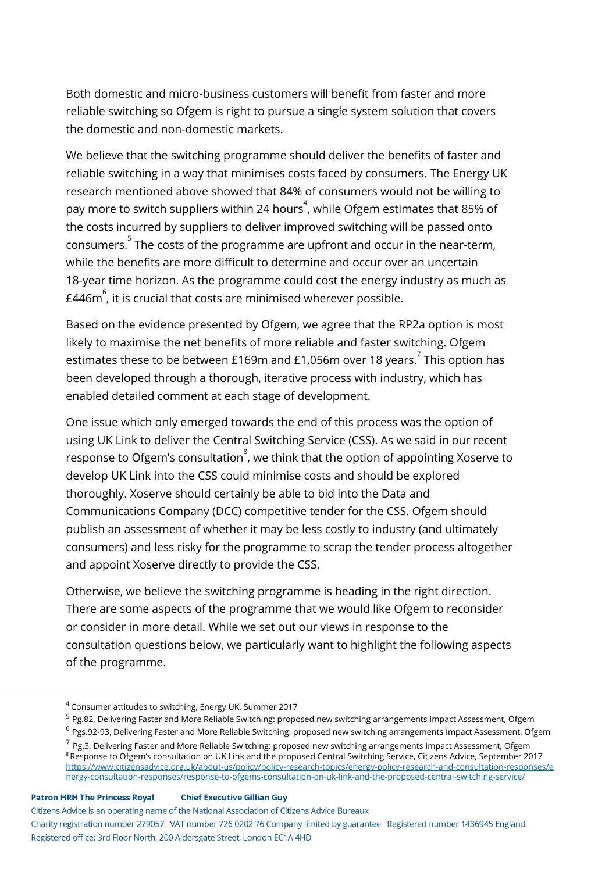Both domestic and micro-business customers will benefit from faster and more reliable switching so Ofgem is right to pursue a single system solution that covers the domestic and non-domestic markets.

We believe that the switching programme should deliver the benefits of faster and reliable switching in a way that minimises costs faced by consumers. The Energy UK research mentioned above showed that 84% of consumers would not be willing to pay more to switch suppliers within 24 hours $\degree$ , while Ofgem estimates that 85% of the costs incurred by suppliers to deliver improved switching will be passed onto consumers. $5$  The costs of the programme are upfront and occur in the near-term, while the benefits are more difficult to determine and occur over an uncertain 18-year time horizon. As the programme could cost the energy industry as much as £446m $\degree$ , it is crucial that costs are minimised wherever possible.

Based on the evidence presented by Ofgem, we agree that the RP2a option is most likely to maximise the net benefits of more reliable and faster switching. Ofgem estimates these to be between £169m and £1,056m over 18 years.  $^7$  This option has been developed through a thorough, iterative process with industry, which has enabled detailed comment at each stage of development.

One issue which only emerged towards the end of this process was the option of using UK Link to deliver the Central Switching Service (CSS). As we said in our recent response to Ofgem's consultation $\degree$ , we think that the option of appointing Xoserve to develop UK Link into the CSS could minimise costs and should be explored thoroughly. Xoserve should certainly be able to bid into the Data and Communications Company (DCC) competitive tender for the CSS. Ofgem should publish an assessment of whether it may be less costly to industry (and ultimately consumers) and less risky for the programme to scrap the tender process altogether and appoint Xoserve directly to provide the CSS.

Otherwise, we believe the switching programme is heading in the right direction. There are some aspects of the programme that we would like Ofgem to reconsider or consider in more detail. While we set out our views in response to the consultation questions below, we particularly want to highlight the following aspects of the programme.

[nergy-consultation-responses/response-to-ofgems-consultation-on-uk-link-and-the-proposed-central-switching-service/](https://www.citizensadvice.org.uk/about-us/policy/policy-research-topics/energy-policy-research-and-consultation-responses/energy-consultation-responses/response-to-ofgems-consultation-on-uk-link-and-the-proposed-central-switching-service/)

#### **Patron HRH The Princess Royal Chief Executive Gillian Guy**

Citizens Advice is an operating name of the National Association of Citizens Advice Bureaux

<sup>4</sup>Consumer attitudes to switching, Energy UK, Summer 2017

<sup>&</sup>lt;sup>5</sup> Pg.82, Delivering Faster and More Reliable Switching: proposed new switching arrangements Impact Assessment, Ofgem

 $^6$  Pgs.92-93, Delivering Faster and More Reliable Switching: proposed new switching arrangements Impact Assessment, Ofgem

 $^7$  Pg.3, Delivering Faster and More Reliable Switching: proposed new switching arrangements Impact Assessment, Ofgem  $8$  Response to Ofgem's consultation on UK Link and the proposed Central Switching Service, Citizens Advice, September 2017 [https://www.citizensadvice.org.uk/about-us/policy/policy-research-topics/energy-policy-research-and-consultation-responses/e](https://www.citizensadvice.org.uk/about-us/policy/policy-research-topics/energy-policy-research-and-consultation-responses/energy-consultation-responses/response-to-ofgems-consultation-on-uk-link-and-the-proposed-central-switching-service/)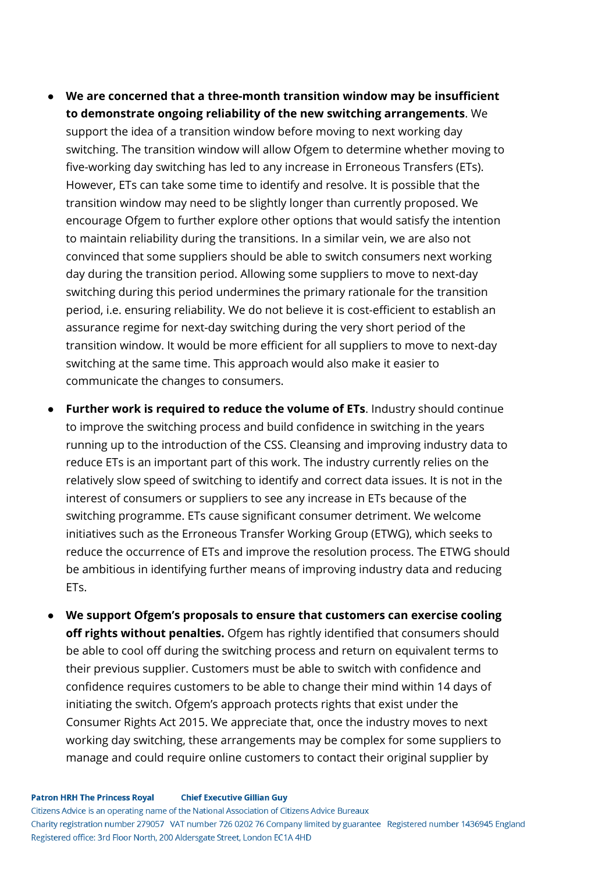- **We are concerned that a three-month transition window may be insufficient to demonstrate ongoing reliability of the new switching arrangements**. We support the idea of a transition window before moving to next working day switching. The transition window will allow Ofgem to determine whether moving to five-working day switching has led to any increase in Erroneous Transfers (ETs). However, ETs can take some time to identify and resolve. It is possible that the transition window may need to be slightly longer than currently proposed. We encourage Ofgem to further explore other options that would satisfy the intention to maintain reliability during the transitions. In a similar vein, we are also not convinced that some suppliers should be able to switch consumers next working day during the transition period. Allowing some suppliers to move to next-day switching during this period undermines the primary rationale for the transition period, i.e. ensuring reliability. We do not believe it is cost-efficient to establish an assurance regime for next-day switching during the very short period of the transition window. It would be more efficient for all suppliers to move to next-day switching at the same time. This approach would also make it easier to communicate the changes to consumers.
- **Further work is required to reduce the volume of ETs**. Industry should continue to improve the switching process and build confidence in switching in the years running up to the introduction of the CSS. Cleansing and improving industry data to reduce ETs is an important part of this work. The industry currently relies on the relatively slow speed of switching to identify and correct data issues. It is not in the interest of consumers or suppliers to see any increase in ETs because of the switching programme. ETs cause significant consumer detriment. We welcome initiatives such as the Erroneous Transfer Working Group (ETWG), which seeks to reduce the occurrence of ETs and improve the resolution process. The ETWG should be ambitious in identifying further means of improving industry data and reducing ETs.
- **We support Ofgem's proposals to ensure that customers can exercise cooling off rights without penalties.** Ofgem has rightly identified that consumers should be able to cool off during the switching process and return on equivalent terms to their previous supplier. Customers must be able to switch with confidence and confidence requires customers to be able to change their mind within 14 days of initiating the switch. Ofgem's approach protects rights that exist under the Consumer Rights Act 2015. We appreciate that, once the industry moves to next working day switching, these arrangements may be complex for some suppliers to manage and could require online customers to contact their original supplier by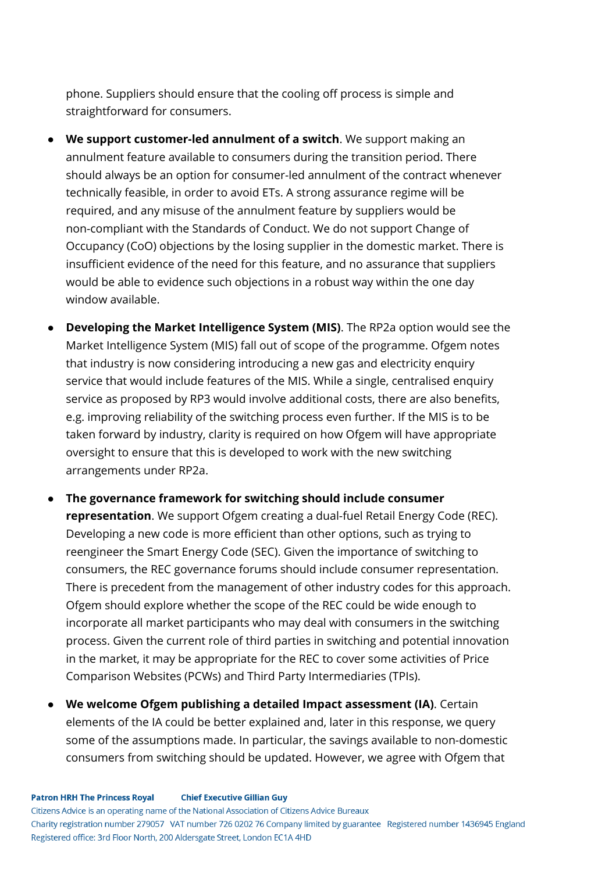phone. Suppliers should ensure that the cooling off process is simple and straightforward for consumers.

- **We support customer-led annulment of a switch**. We support making an annulment feature available to consumers during the transition period. There should always be an option for consumer-led annulment of the contract whenever technically feasible, in order to avoid ETs. A strong assurance regime will be required, and any misuse of the annulment feature by suppliers would be non-compliant with the Standards of Conduct. We do not support Change of Occupancy (CoO) objections by the losing supplier in the domestic market. There is insufficient evidence of the need for this feature, and no assurance that suppliers would be able to evidence such objections in a robust way within the one day window available.
- **Developing the Market Intelligence System (MIS)**. The RP2a option would see the Market Intelligence System (MIS) fall out of scope of the programme. Ofgem notes that industry is now considering introducing a new gas and electricity enquiry service that would include features of the MIS. While a single, centralised enquiry service as proposed by RP3 would involve additional costs, there are also benefits, e.g. improving reliability of the switching process even further. If the MIS is to be taken forward by industry, clarity is required on how Ofgem will have appropriate oversight to ensure that this is developed to work with the new switching arrangements under RP2a.

● **The governance framework for switching should include consumer representation**. We support Ofgem creating a dual-fuel Retail Energy Code (REC). Developing a new code is more efficient than other options, such as trying to reengineer the Smart Energy Code (SEC). Given the importance of switching to consumers, the REC governance forums should include consumer representation. There is precedent from the management of other industry codes for this approach. Ofgem should explore whether the scope of the REC could be wide enough to incorporate all market participants who may deal with consumers in the switching process. Given the current role of third parties in switching and potential innovation in the market, it may be appropriate for the REC to cover some activities of Price Comparison Websites (PCWs) and Third Party Intermediaries (TPIs).

● **We welcome Ofgem publishing a detailed Impact assessment (IA)**. Certain elements of the IA could be better explained and, later in this response, we query some of the assumptions made. In particular, the savings available to non-domestic consumers from switching should be updated. However, we agree with Ofgem that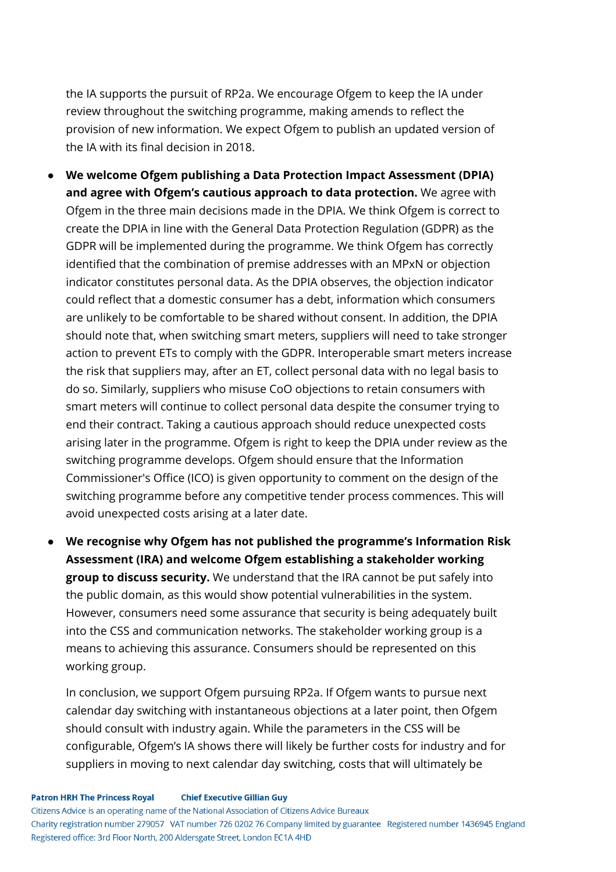the IA supports the pursuit of RP2a. We encourage Ofgem to keep the IA under review throughout the switching programme, making amends to reflect the provision of new information. We expect Ofgem to publish an updated version of the IA with its final decision in 2018.

- **We welcome Ofgem publishing a Data Protection Impact Assessment (DPIA) and agree with Ofgem's cautious approach to data protection.** We agree with Ofgem in the three main decisions made in the DPIA. We think Ofgem is correct to create the DPIA in line with the General Data Protection Regulation (GDPR) as the GDPR will be implemented during the programme. We think Ofgem has correctly identified that the combination of premise addresses with an MPxN or objection indicator constitutes personal data. As the DPIA observes, the objection indicator could reflect that a domestic consumer has a debt, information which consumers are unlikely to be comfortable to be shared without consent. In addition, the DPIA should note that, when switching smart meters, suppliers will need to take stronger action to prevent ETs to comply with the GDPR. Interoperable smart meters increase the risk that suppliers may, after an ET, collect personal data with no legal basis to do so. Similarly, suppliers who misuse CoO objections to retain consumers with smart meters will continue to collect personal data despite the consumer trying to end their contract. Taking a cautious approach should reduce unexpected costs arising later in the programme. Ofgem is right to keep the DPIA under review as the switching programme develops. Ofgem should ensure that the Information Commissioner's Office (ICO) is given opportunity to comment on the design of the switching programme before any competitive tender process commences. This will avoid unexpected costs arising at a later date.
- **We recognise why Ofgem has not published the programme's Information Risk Assessment (IRA) and welcome Ofgem establishing a stakeholder working group to discuss security.** We understand that the IRA cannot be put safely into the public domain, as this would show potential vulnerabilities in the system. However, consumers need some assurance that security is being adequately built into the CSS and communication networks. The stakeholder working group is a means to achieving this assurance. Consumers should be represented on this working group.

In conclusion, we support Ofgem pursuing RP2a. If Ofgem wants to pursue next calendar day switching with instantaneous objections at a later point, then Ofgem should consult with industry again. While the parameters in the CSS will be configurable, Ofgem's IA shows there will likely be further costs for industry and for suppliers in moving to next calendar day switching, costs that will ultimately be

**Patron HRH The Princess Royal Chief Executive Gillian Guy** 

Citizens Advice is an operating name of the National Association of Citizens Advice Bureaux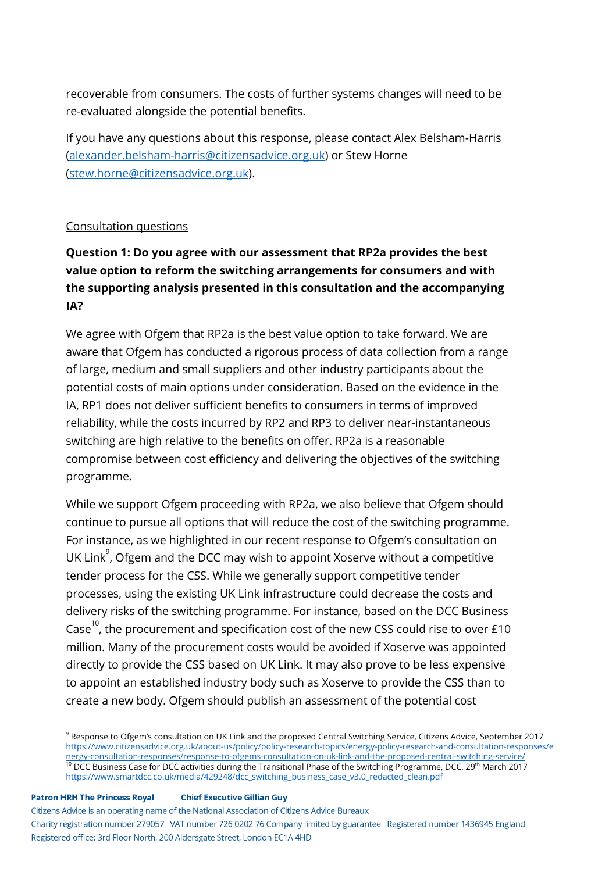recoverable from consumers. The costs of further systems changes will need to be re-evaluated alongside the potential benefits.

If you have any questions about this response, please contact Alex Belsham-Harris ([alexander.belsham-harris@citizensadvice.org.uk](mailto:alexander.belsham-harris@citizensadvice.org.uk)) or Stew Horne ([stew.horne@citizensadvice.org.uk\)](mailto:stew.horne@citizensadvice.org.uk).

#### Consultation questions

# **Question 1: Do you agree with our assessment that RP2a provides the best value option to reform the switching arrangements for consumers and with the supporting analysis presented in this consultation and the accompanying IA?**

We agree with Ofgem that RP2a is the best value option to take forward. We are aware that Ofgem has conducted a rigorous process of data collection from a range of large, medium and small suppliers and other industry participants about the potential costs of main options under consideration. Based on the evidence in the IA, RP1 does not deliver sufficient benefits to consumers in terms of improved reliability, while the costs incurred by RP2 and RP3 to deliver near-instantaneous switching are high relative to the benefits on offer. RP2a is a reasonable compromise between cost efficiency and delivering the objectives of the switching programme.

While we support Ofgem proceeding with RP2a, we also believe that Ofgem should continue to pursue all options that will reduce the cost of the switching programme. For instance, as we highlighted in our recent response to Ofgem's consultation on UK Link $^{\circ}$ , Ofgem and the DCC may wish to appoint Xoserve without a competitive tender process for the CSS. While we generally support competitive tender processes, using the existing UK Link infrastructure could decrease the costs and delivery risks of the switching programme. For instance, based on the DCC Business Case<sup>10</sup>, the procurement and specification cost of the new CSS could rise to over £10 million. Many of the procurement costs would be avoided if Xoserve was appointed directly to provide the CSS based on UK Link. It may also prove to be less expensive to appoint an established industry body such as Xoserve to provide the CSS than to create a new body. Ofgem should publish an assessment of the potential cost

#### **Patron HRH The Princess Royal Chief Executive Gillian Guy**

Citizens Advice is an operating name of the National Association of Citizens Advice Bureaux Charity registration number 279057 VAT number 726 0202 76 Company limited by guarantee Registered number 1436945 England Registered office: 3rd Floor North, 200 Aldersgate Street, London EC1A 4HD

<sup>&</sup>lt;sup>9</sup> Response to Ofgem's consultation on UK Link and the proposed Central Switching Service, Citizens Advice, September 2017 [https://www.citizensadvice.org.uk/about-us/policy/policy-research-topics/energy-policy-research-and-consultation-responses/e](https://www.citizensadvice.org.uk/about-us/policy/policy-research-topics/energy-policy-research-and-consultation-responses/energy-consultation-responses/response-to-ofgems-consultation-on-uk-link-and-the-proposed-central-switching-service/) [nergy-consultation-responses/response-to-ofgems-consultation-on-uk-link-and-the-proposed-central-switching-service/](https://www.citizensadvice.org.uk/about-us/policy/policy-research-topics/energy-policy-research-and-consultation-responses/energy-consultation-responses/response-to-ofgems-consultation-on-uk-link-and-the-proposed-central-switching-service/)  $10$  DCC Business Case for DCC activities during the Transitional Phase of the Switching Programme, DCC, 29<sup>th</sup> March 2017 [https://www.smartdcc.co.uk/media/429248/dcc\\_switching\\_business\\_case\\_v3.0\\_redacted\\_clean.pdf](https://www.smartdcc.co.uk/media/429248/dcc_switching_business_case_v3.0_redacted_clean.pdf)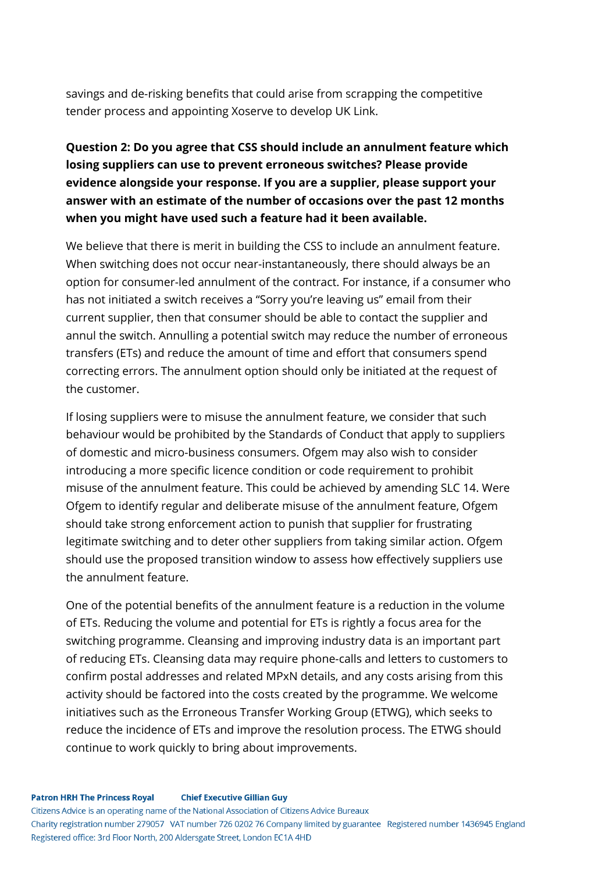savings and de-risking benefits that could arise from scrapping the competitive tender process and appointing Xoserve to develop UK Link.

# **Question 2: Do you agree that CSS should include an annulment feature which losing suppliers can use to prevent erroneous switches? Please provide evidence alongside your response. If you are a supplier, please support your answer with an estimate of the number of occasions over the past 12 months when you might have used such a feature had it been available.**

We believe that there is merit in building the CSS to include an annulment feature. When switching does not occur near-instantaneously, there should always be an option for consumer-led annulment of the contract. For instance, if a consumer who has not initiated a switch receives a "Sorry you're leaving us" email from their current supplier, then that consumer should be able to contact the supplier and annul the switch. Annulling a potential switch may reduce the number of erroneous transfers (ETs) and reduce the amount of time and effort that consumers spend correcting errors. The annulment option should only be initiated at the request of the customer.

If losing suppliers were to misuse the annulment feature, we consider that such behaviour would be prohibited by the Standards of Conduct that apply to suppliers of domestic and micro-business consumers. Ofgem may also wish to consider introducing a more specific licence condition or code requirement to prohibit misuse of the annulment feature. This could be achieved by amending SLC 14. Were Ofgem to identify regular and deliberate misuse of the annulment feature, Ofgem should take strong enforcement action to punish that supplier for frustrating legitimate switching and to deter other suppliers from taking similar action. Ofgem should use the proposed transition window to assess how effectively suppliers use the annulment feature.

One of the potential benefits of the annulment feature is a reduction in the volume of ETs. Reducing the volume and potential for ETs is rightly a focus area for the switching programme. Cleansing and improving industry data is an important part of reducing ETs. Cleansing data may require phone-calls and letters to customers to confirm postal addresses and related MPxN details, and any costs arising from this activity should be factored into the costs created by the programme. We welcome initiatives such as the Erroneous Transfer Working Group (ETWG), which seeks to reduce the incidence of ETs and improve the resolution process. The ETWG should continue to work quickly to bring about improvements.

**Patron HRH The Princess Royal Chief Executive Gillian Guy** Citizens Advice is an operating name of the National Association of Citizens Advice Bureaux Charity registration number 279057 VAT number 726 0202 76 Company limited by guarantee Registered number 1436945 England Registered office: 3rd Floor North, 200 Aldersgate Street, London EC1A 4HD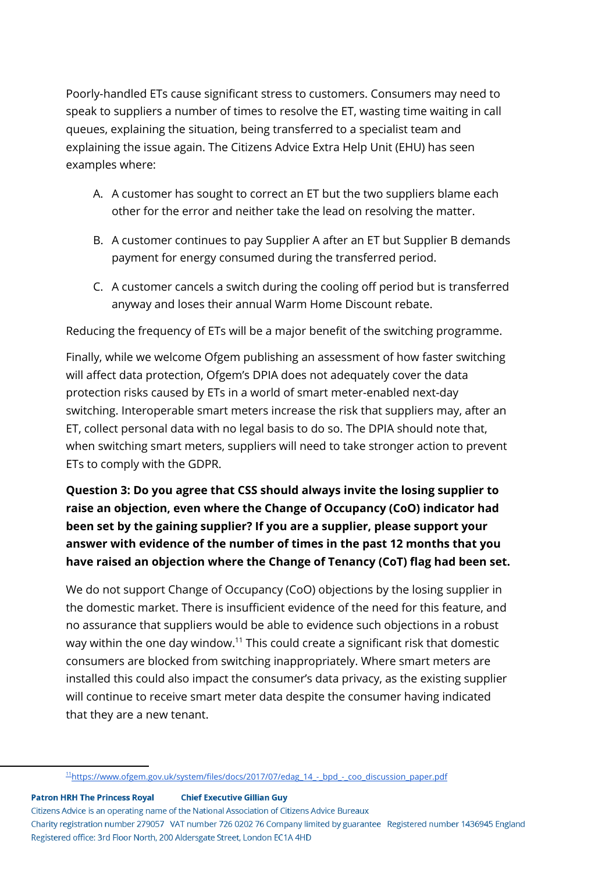Poorly-handled ETs cause significant stress to customers. Consumers may need to speak to suppliers a number of times to resolve the ET, wasting time waiting in call queues, explaining the situation, being transferred to a specialist team and explaining the issue again. The Citizens Advice Extra Help Unit (EHU) has seen examples where:

- A. A customer has sought to correct an ET but the two suppliers blame each other for the error and neither take the lead on resolving the matter.
- B. A customer continues to pay Supplier A after an ET but Supplier B demands payment for energy consumed during the transferred period.
- C. A customer cancels a switch during the cooling off period but is transferred anyway and loses their annual Warm Home Discount rebate.

Reducing the frequency of ETs will be a major benefit of the switching programme.

Finally, while we welcome Ofgem publishing an assessment of how faster switching will affect data protection, Ofgem's DPIA does not adequately cover the data protection risks caused by ETs in a world of smart meter-enabled next-day switching. Interoperable smart meters increase the risk that suppliers may, after an ET, collect personal data with no legal basis to do so. The DPIA should note that, when switching smart meters, suppliers will need to take stronger action to prevent ETs to comply with the GDPR.

# **Question 3: Do you agree that CSS should always invite the losing supplier to raise an objection, even where the Change of Occupancy (CoO) indicator had been set by the gaining supplier? If you are a supplier, please support your answer with evidence of the number of times in the past 12 months that you have raised an objection where the Change of Tenancy (CoT) flag had been set.**

We do not support Change of Occupancy (CoO) objections by the losing supplier in the domestic market. There is insufficient evidence of the need for this feature, and no assurance that suppliers would be able to evidence such objections in a robust way within the one day window. $11$  This could create a significant risk that domestic consumers are blocked from switching inappropriately. Where smart meters are installed this could also impact the consumer's data privacy, as the existing supplier will continue to receive smart meter data despite the consumer having indicated that they are a new tenant.

**Chief Executive Gillian Guy Patron HRH The Princess Royal** Citizens Advice is an operating name of the National Association of Citizens Advice Bureaux Charity registration number 279057 VAT number 726 0202 76 Company limited by guarantee Registered number 1436945 England Registered office: 3rd Floor North, 200 Aldersgate Street, London EC1A 4HD

<sup>&</sup>lt;sup>11</sup>https://www.ofgem.gov.uk/system/files/docs/2017/07/edag\_14 -\_bpd\_-\_coo\_discussion\_paper.pdf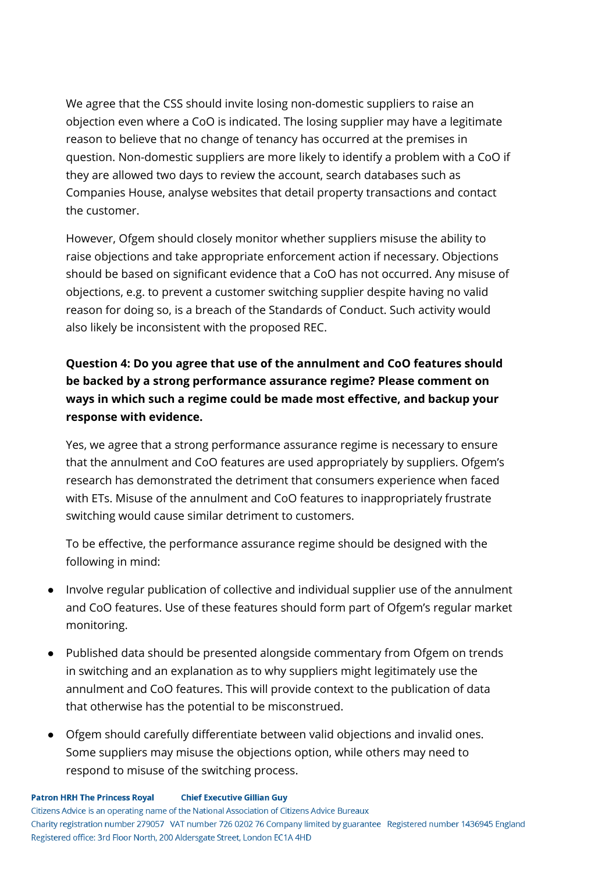We agree that the CSS should invite losing non-domestic suppliers to raise an objection even where a CoO is indicated. The losing supplier may have a legitimate reason to believe that no change of tenancy has occurred at the premises in question. Non-domestic suppliers are more likely to identify a problem with a CoO if they are allowed two days to review the account, search databases such as Companies House, analyse websites that detail property transactions and contact the customer.

However, Ofgem should closely monitor whether suppliers misuse the ability to raise objections and take appropriate enforcement action if necessary. Objections should be based on significant evidence that a CoO has not occurred. Any misuse of objections, e.g. to prevent a customer switching supplier despite having no valid reason for doing so, is a breach of the Standards of Conduct. Such activity would also likely be inconsistent with the proposed REC.

# **Question 4: Do you agree that use of the annulment and CoO features should be backed by a strong performance assurance regime? Please comment on ways in which such a regime could be made most effective, and backup your response with evidence.**

Yes, we agree that a strong performance assurance regime is necessary to ensure that the annulment and CoO features are used appropriately by suppliers. Ofgem's research has demonstrated the detriment that consumers experience when faced with ETs. Misuse of the annulment and CoO features to inappropriately frustrate switching would cause similar detriment to customers.

To be effective, the performance assurance regime should be designed with the following in mind:

- Involve regular publication of collective and individual supplier use of the annulment and CoO features. Use of these features should form part of Ofgem's regular market monitoring.
- Published data should be presented alongside commentary from Ofgem on trends in switching and an explanation as to why suppliers might legitimately use the annulment and CoO features. This will provide context to the publication of data that otherwise has the potential to be misconstrued.
- Ofgem should carefully differentiate between valid objections and invalid ones. Some suppliers may misuse the objections option, while others may need to respond to misuse of the switching process.

Citizens Advice is an operating name of the National Association of Citizens Advice Bureaux Charity registration number 279057 VAT number 726 0202 76 Company limited by guarantee Registered number 1436945 England Registered office: 3rd Floor North, 200 Aldersgate Street, London EC1A 4HD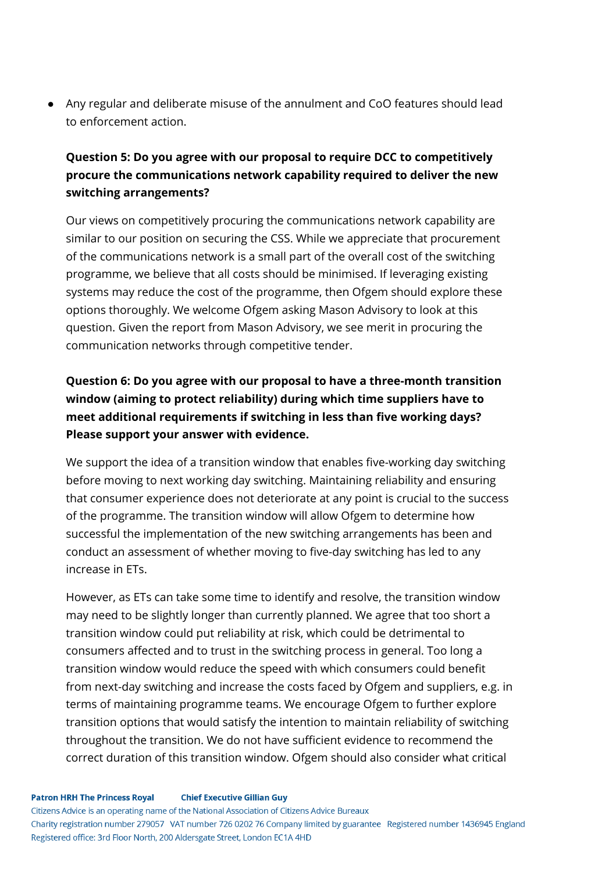● Any regular and deliberate misuse of the annulment and CoO features should lead to enforcement action.

## **Question 5: Do you agree with our proposal to require DCC to competitively procure the communications network capability required to deliver the new switching arrangements?**

Our views on competitively procuring the communications network capability are similar to our position on securing the CSS. While we appreciate that procurement of the communications network is a small part of the overall cost of the switching programme, we believe that all costs should be minimised. If leveraging existing systems may reduce the cost of the programme, then Ofgem should explore these options thoroughly. We welcome Ofgem asking Mason Advisory to look at this question. Given the report from Mason Advisory, we see merit in procuring the communication networks through competitive tender.

# **Question 6: Do you agree with our proposal to have a three-month transition window (aiming to protect reliability) during which time suppliers have to meet additional requirements if switching in less than five working days? Please support your answer with evidence.**

We support the idea of a transition window that enables five-working day switching before moving to next working day switching. Maintaining reliability and ensuring that consumer experience does not deteriorate at any point is crucial to the success of the programme. The transition window will allow Ofgem to determine how successful the implementation of the new switching arrangements has been and conduct an assessment of whether moving to five-day switching has led to any increase in ETs.

However, as ETs can take some time to identify and resolve, the transition window may need to be slightly longer than currently planned. We agree that too short a transition window could put reliability at risk, which could be detrimental to consumers affected and to trust in the switching process in general. Too long a transition window would reduce the speed with which consumers could benefit from next-day switching and increase the costs faced by Ofgem and suppliers, e.g. in terms of maintaining programme teams. We encourage Ofgem to further explore transition options that would satisfy the intention to maintain reliability of switching throughout the transition. We do not have sufficient evidence to recommend the correct duration of this transition window. Ofgem should also consider what critical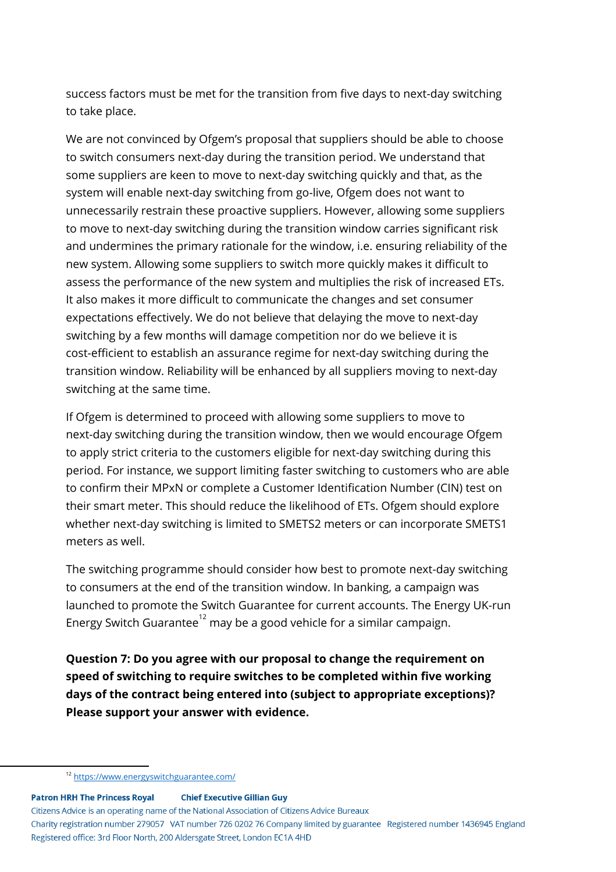success factors must be met for the transition from five days to next-day switching to take place.

We are not convinced by Ofgem's proposal that suppliers should be able to choose to switch consumers next-day during the transition period. We understand that some suppliers are keen to move to next-day switching quickly and that, as the system will enable next-day switching from go-live, Ofgem does not want to unnecessarily restrain these proactive suppliers. However, allowing some suppliers to move to next-day switching during the transition window carries significant risk and undermines the primary rationale for the window, i.e. ensuring reliability of the new system. Allowing some suppliers to switch more quickly makes it difficult to assess the performance of the new system and multiplies the risk of increased ETs. It also makes it more difficult to communicate the changes and set consumer expectations effectively. We do not believe that delaying the move to next-day switching by a few months will damage competition nor do we believe it is cost-efficient to establish an assurance regime for next-day switching during the transition window. Reliability will be enhanced by all suppliers moving to next-day switching at the same time.

If Ofgem is determined to proceed with allowing some suppliers to move to next-day switching during the transition window, then we would encourage Ofgem to apply strict criteria to the customers eligible for next-day switching during this period. For instance, we support limiting faster switching to customers who are able to confirm their MPxN or complete a Customer Identification Number (CIN) test on their smart meter. This should reduce the likelihood of ETs. Ofgem should explore whether next-day switching is limited to SMETS2 meters or can incorporate SMETS1 meters as well.

The switching programme should consider how best to promote next-day switching to consumers at the end of the transition window. In banking, a campaign was launched to promote the Switch Guarantee for current accounts. The Energy UK-run Energy Switch Guarantee $^{12}$  may be a good vehicle for a similar campaign.

**Question 7: Do you agree with our proposal to change the requirement on speed of switching to require switches to be completed within five working days of the contract being entered into (subject to appropriate exceptions)? Please support your answer with evidence.**

**Patron HRH The Princess Royal Chief Executive Gillian Guy** Citizens Advice is an operating name of the National Association of Citizens Advice Bureaux Charity registration number 279057 VAT number 726 0202 76 Company limited by guarantee Registered number 1436945 England Registered office: 3rd Floor North, 200 Aldersgate Street, London EC1A 4HD

<sup>12</sup> <https://www.energyswitchguarantee.com/>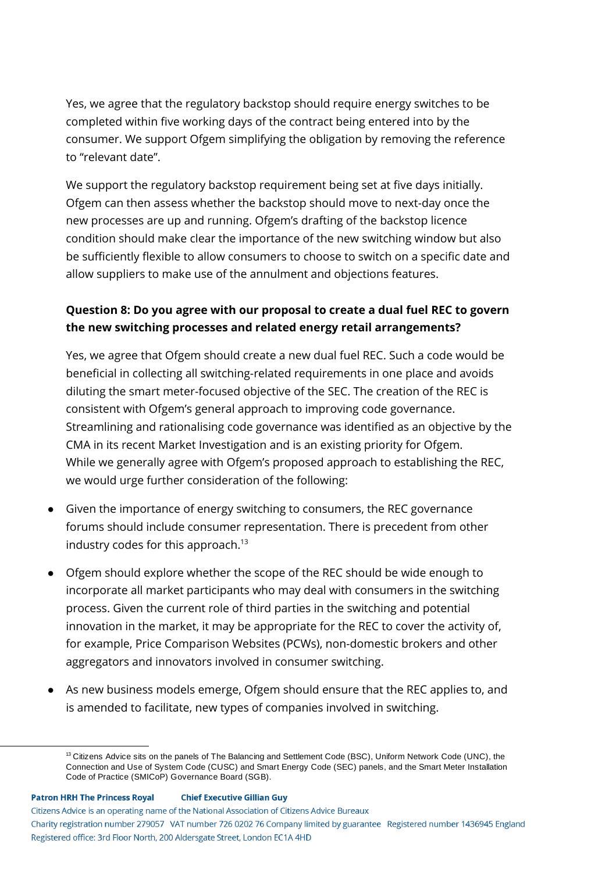Yes, we agree that the regulatory backstop should require energy switches to be completed within five working days of the contract being entered into by the consumer. We support Ofgem simplifying the obligation by removing the reference to "relevant date".

We support the regulatory backstop requirement being set at five days initially. Ofgem can then assess whether the backstop should move to next-day once the new processes are up and running. Ofgem's drafting of the backstop licence condition should make clear the importance of the new switching window but also be sufficiently flexible to allow consumers to choose to switch on a specific date and allow suppliers to make use of the annulment and objections features.

### **Question 8: Do you agree with our proposal to create a dual fuel REC to govern the new switching processes and related energy retail arrangements?**

Yes, we agree that Ofgem should create a new dual fuel REC. Such a code would be beneficial in collecting all switching-related requirements in one place and avoids diluting the smart meter-focused objective of the SEC. The creation of the REC is consistent with Ofgem's general approach to improving code governance. Streamlining and rationalising code governance was identified as an objective by the CMA in its recent Market Investigation and is an existing priority for Ofgem. While we generally agree with Ofgem's proposed approach to establishing the REC, we would urge further consideration of the following:

- Given the importance of energy switching to consumers, the REC governance forums should include consumer representation. There is precedent from other industry codes for this approach. 13
- Ofgem should explore whether the scope of the REC should be wide enough to incorporate all market participants who may deal with consumers in the switching process. Given the current role of third parties in the switching and potential innovation in the market, it may be appropriate for the REC to cover the activity of, for example, Price Comparison Websites (PCWs), non-domestic brokers and other aggregators and innovators involved in consumer switching.
- As new business models emerge, Ofgem should ensure that the REC applies to, and is amended to facilitate, new types of companies involved in switching.

Citizens Advice is an operating name of the National Association of Citizens Advice Bureaux Charity registration number 279057 VAT number 726 0202 76 Company limited by guarantee Registered number 1436945 England Registered office: 3rd Floor North, 200 Aldersgate Street, London EC1A 4HD

 $13$  Citizens Advice sits on the panels of The Balancing and Settlement Code (BSC), Uniform Network Code (UNC), the Connection and Use of System Code (CUSC) and Smart Energy Code (SEC) panels, and the Smart Meter Installation Code of Practice (SMICoP) Governance Board (SGB).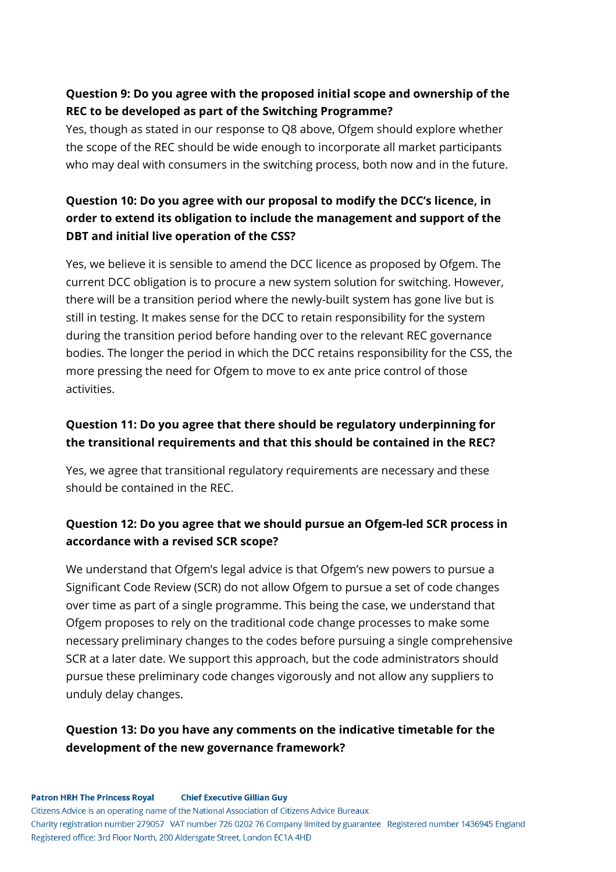## **Question 9: Do you agree with the proposed initial scope and ownership of the REC to be developed as part of the Switching Programme?**

Yes, though as stated in our response to Q8 above, Ofgem should explore whether the scope of the REC should be wide enough to incorporate all market participants who may deal with consumers in the switching process, both now and in the future.

# **Question 10: Do you agree with our proposal to modify the DCC's licence, in order to extend its obligation to include the management and support of the DBT and initial live operation of the CSS?**

Yes, we believe it is sensible to amend the DCC licence as proposed by Ofgem. The current DCC obligation is to procure a new system solution for switching. However, there will be a transition period where the newly-built system has gone live but is still in testing. It makes sense for the DCC to retain responsibility for the system during the transition period before handing over to the relevant REC governance bodies. The longer the period in which the DCC retains responsibility for the CSS, the more pressing the need for Ofgem to move to ex ante price control of those activities.

# **Question 11: Do you agree that there should be regulatory underpinning for the transitional requirements and that this should be contained in the REC?**

Yes, we agree that transitional regulatory requirements are necessary and these should be contained in the REC.

# **Question 12: Do you agree that we should pursue an Ofgem-led SCR process in accordance with a revised SCR scope?**

We understand that Ofgem's legal advice is that Ofgem's new powers to pursue a Significant Code Review (SCR) do not allow Ofgem to pursue a set of code changes over time as part of a single programme. This being the case, we understand that Ofgem proposes to rely on the traditional code change processes to make some necessary preliminary changes to the codes before pursuing a single comprehensive SCR at a later date. We support this approach, but the code administrators should pursue these preliminary code changes vigorously and not allow any suppliers to unduly delay changes.

### **Question 13: Do you have any comments on the indicative timetable for the development of the new governance framework?**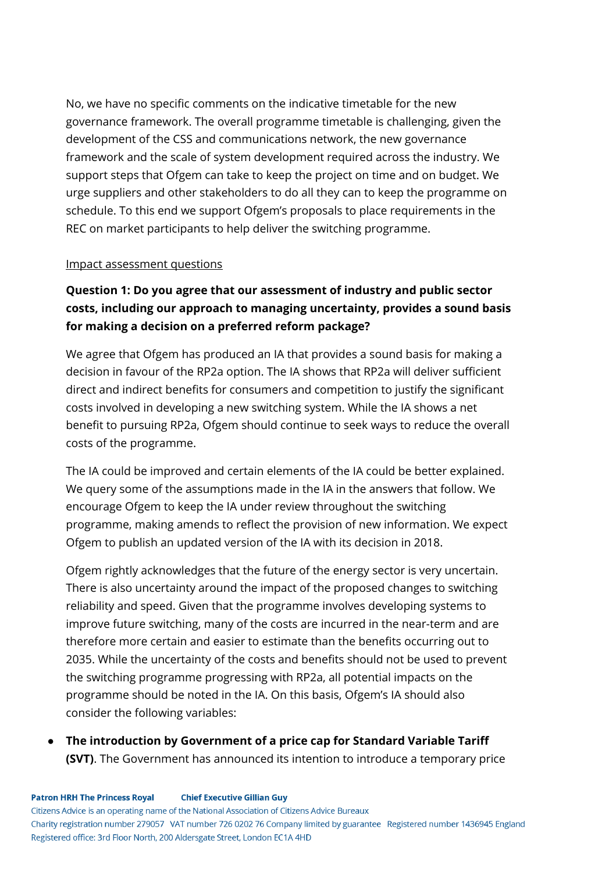No, we have no specific comments on the indicative timetable for the new governance framework. The overall programme timetable is challenging, given the development of the CSS and communications network, the new governance framework and the scale of system development required across the industry. We support steps that Ofgem can take to keep the project on time and on budget. We urge suppliers and other stakeholders to do all they can to keep the programme on schedule. To this end we support Ofgem's proposals to place requirements in the REC on market participants to help deliver the switching programme.

#### Impact assessment questions

# **Question 1: Do you agree that our assessment of industry and public sector costs, including our approach to managing uncertainty, provides a sound basis for making a decision on a preferred reform package?**

We agree that Ofgem has produced an IA that provides a sound basis for making a decision in favour of the RP2a option. The IA shows that RP2a will deliver sufficient direct and indirect benefits for consumers and competition to justify the significant costs involved in developing a new switching system. While the IA shows a net benefit to pursuing RP2a, Ofgem should continue to seek ways to reduce the overall costs of the programme.

The IA could be improved and certain elements of the IA could be better explained. We query some of the assumptions made in the IA in the answers that follow. We encourage Ofgem to keep the IA under review throughout the switching programme, making amends to reflect the provision of new information. We expect Ofgem to publish an updated version of the IA with its decision in 2018.

Ofgem rightly acknowledges that the future of the energy sector is very uncertain. There is also uncertainty around the impact of the proposed changes to switching reliability and speed. Given that the programme involves developing systems to improve future switching, many of the costs are incurred in the near-term and are therefore more certain and easier to estimate than the benefits occurring out to 2035. While the uncertainty of the costs and benefits should not be used to prevent the switching programme progressing with RP2a, all potential impacts on the programme should be noted in the IA. On this basis, Ofgem's IA should also consider the following variables:

● **The introduction by Government of a price cap for Standard Variable Tariff (SVT)**. The Government has announced its intention to introduce a temporary price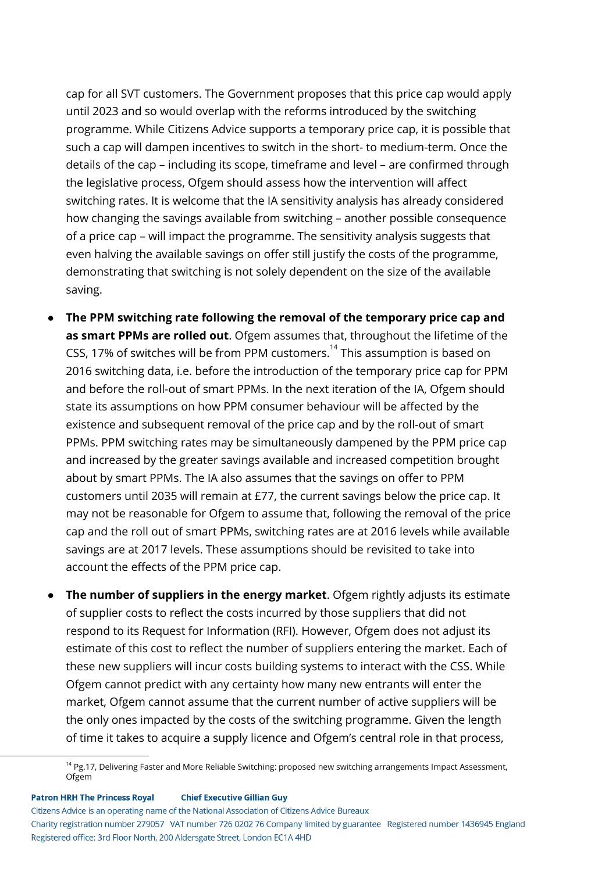cap for all SVT customers. The Government proposes that this price cap would apply until 2023 and so would overlap with the reforms introduced by the switching programme. While Citizens Advice supports a temporary price cap, it is possible that such a cap will dampen incentives to switch in the short- to medium-term. Once the details of the cap – including its scope, timeframe and level – are confirmed through the legislative process, Ofgem should assess how the intervention will affect switching rates. It is welcome that the IA sensitivity analysis has already considered how changing the savings available from switching – another possible consequence of a price cap – will impact the programme. The sensitivity analysis suggests that even halving the available savings on offer still justify the costs of the programme, demonstrating that switching is not solely dependent on the size of the available saving.

- **The PPM switching rate following the removal of the temporary price cap and as smart PPMs are rolled out**. Ofgem assumes that, throughout the lifetime of the CSS, 17% of switches will be from PPM customers. $^{14}$  This assumption is based on 2016 switching data, i.e. before the introduction of the temporary price cap for PPM and before the roll-out of smart PPMs. In the next iteration of the IA, Ofgem should state its assumptions on how PPM consumer behaviour will be affected by the existence and subsequent removal of the price cap and by the roll-out of smart PPMs. PPM switching rates may be simultaneously dampened by the PPM price cap and increased by the greater savings available and increased competition brought about by smart PPMs. The IA also assumes that the savings on offer to PPM customers until 2035 will remain at £77, the current savings below the price cap. It may not be reasonable for Ofgem to assume that, following the removal of the price cap and the roll out of smart PPMs, switching rates are at 2016 levels while available savings are at 2017 levels. These assumptions should be revisited to take into account the effects of the PPM price cap.
- **The number of suppliers in the energy market**. Ofgem rightly adjusts its estimate of supplier costs to reflect the costs incurred by those suppliers that did not respond to its Request for Information (RFI). However, Ofgem does not adjust its estimate of this cost to reflect the number of suppliers entering the market. Each of these new suppliers will incur costs building systems to interact with the CSS. While Ofgem cannot predict with any certainty how many new entrants will enter the market, Ofgem cannot assume that the current number of active suppliers will be the only ones impacted by the costs of the switching programme. Given the length of time it takes to acquire a supply licence and Ofgem's central role in that process,

**Patron HRH The Princess Royal Chief Executive Gillian Guy** 

Citizens Advice is an operating name of the National Association of Citizens Advice Bureaux

<sup>&</sup>lt;sup>14</sup> Pg.17, Delivering Faster and More Reliable Switching: proposed new switching arrangements Impact Assessment, Ofgem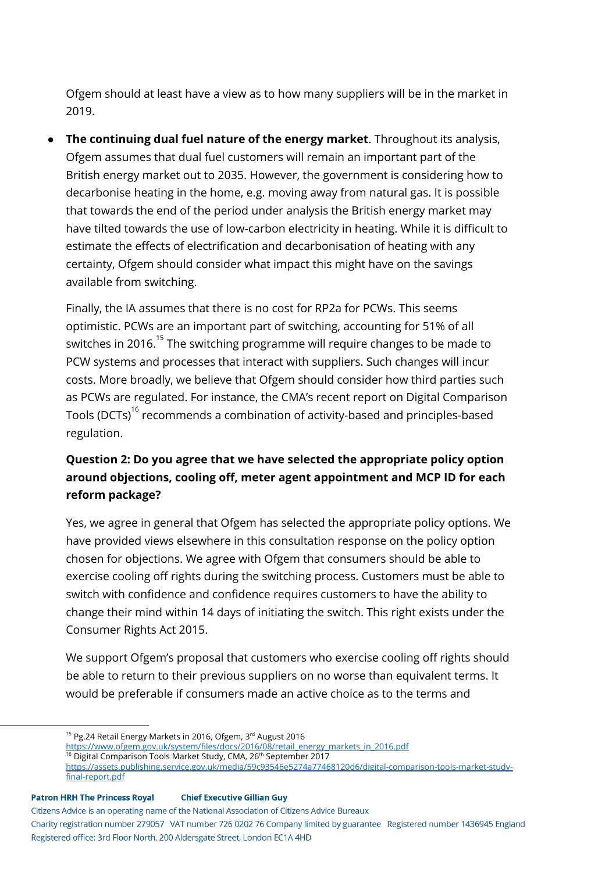Ofgem should at least have a view as to how many suppliers will be in the market in 2019.

● **The continuing dual fuel nature of the energy market**. Throughout its analysis, Ofgem assumes that dual fuel customers will remain an important part of the British energy market out to 2035. However, the government is considering how to decarbonise heating in the home, e.g. moving away from natural gas. It is possible that towards the end of the period under analysis the British energy market may have tilted towards the use of low-carbon electricity in heating. While it is difficult to estimate the effects of electrification and decarbonisation of heating with any certainty, Ofgem should consider what impact this might have on the savings available from switching.

Finally, the IA assumes that there is no cost for RP2a for PCWs. This seems optimistic. PCWs are an important part of switching, accounting for 51% of all switches in 2016. $^{15}$  The switching programme will require changes to be made to PCW systems and processes that interact with suppliers. Such changes will incur costs. More broadly, we believe that Ofgem should consider how third parties such as PCWs are regulated. For instance, the CMA's recent report on Digital Comparison Tools (DCTs) $^{\rm 16}$  recommends a combination of activity-based and principles-based regulation.

# **Question 2: Do you agree that we have selected the appropriate policy option around objections, cooling off, meter agent appointment and MCP ID for each reform package?**

Yes, we agree in general that Ofgem has selected the appropriate policy options. We have provided views elsewhere in this consultation response on the policy option chosen for objections. We agree with Ofgem that consumers should be able to exercise cooling off rights during the switching process. Customers must be able to switch with confidence and confidence requires customers to have the ability to change their mind within 14 days of initiating the switch. This right exists under the Consumer Rights Act 2015.

We support Ofgem's proposal that customers who exercise cooling off rights should be able to return to their previous suppliers on no worse than equivalent terms. It would be preferable if consumers made an active choice as to the terms and

<sup>16</sup> Digital Comparison Tools Market Study, CMA, 26<sup>th</sup> September 2017

#### **Chief Executive Gillian Guy Patron HRH The Princess Royal**

Citizens Advice is an operating name of the National Association of Citizens Advice Bureaux

<sup>&</sup>lt;sup>15</sup> Pg.24 Retail Energy Markets in 2016, Ofgem, 3<sup>rd</sup> August 2016

[https://www.ofgem.gov.uk/system/files/docs/2016/08/retail\\_energy\\_markets\\_in\\_2016.pdf](https://www.ofgem.gov.uk/system/files/docs/2016/08/retail_energy_markets_in_2016.pdf)

[https://assets.publishing.service.gov.uk/media/59c93546e5274a77468120d6/digital-comparison-tools-market-study](https://assets.publishing.service.gov.uk/media/59c93546e5274a77468120d6/digital-comparison-tools-market-study-final-report.pdf)[final-report.pdf](https://assets.publishing.service.gov.uk/media/59c93546e5274a77468120d6/digital-comparison-tools-market-study-final-report.pdf)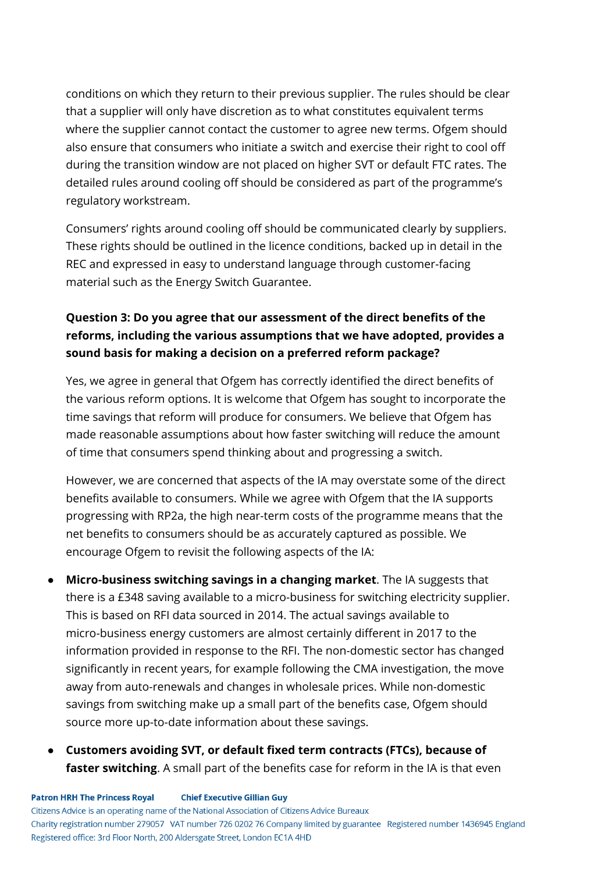conditions on which they return to their previous supplier. The rules should be clear that a supplier will only have discretion as to what constitutes equivalent terms where the supplier cannot contact the customer to agree new terms. Ofgem should also ensure that consumers who initiate a switch and exercise their right to cool off during the transition window are not placed on higher SVT or default FTC rates. The detailed rules around cooling off should be considered as part of the programme's regulatory workstream.

Consumers' rights around cooling off should be communicated clearly by suppliers. These rights should be outlined in the licence conditions, backed up in detail in the REC and expressed in easy to understand language through customer-facing material such as the Energy Switch Guarantee.

# **Question 3: Do you agree that our assessment of the direct benefits of the reforms, including the various assumptions that we have adopted, provides a sound basis for making a decision on a preferred reform package?**

Yes, we agree in general that Ofgem has correctly identified the direct benefits of the various reform options. It is welcome that Ofgem has sought to incorporate the time savings that reform will produce for consumers. We believe that Ofgem has made reasonable assumptions about how faster switching will reduce the amount of time that consumers spend thinking about and progressing a switch.

However, we are concerned that aspects of the IA may overstate some of the direct benefits available to consumers. While we agree with Ofgem that the IA supports progressing with RP2a, the high near-term costs of the programme means that the net benefits to consumers should be as accurately captured as possible. We encourage Ofgem to revisit the following aspects of the IA:

- **Micro-business switching savings in a changing market**. The IA suggests that there is a £348 saving available to a micro-business for switching electricity supplier. This is based on RFI data sourced in 2014. The actual savings available to micro-business energy customers are almost certainly different in 2017 to the information provided in response to the RFI. The non-domestic sector has changed significantly in recent years, for example following the CMA investigation, the move away from auto-renewals and changes in wholesale prices. While non-domestic savings from switching make up a small part of the benefits case, Ofgem should source more up-to-date information about these savings.
- **Customers avoiding SVT, or default fixed term contracts (FTCs), because of faster switching**. A small part of the benefits case for reform in the IA is that even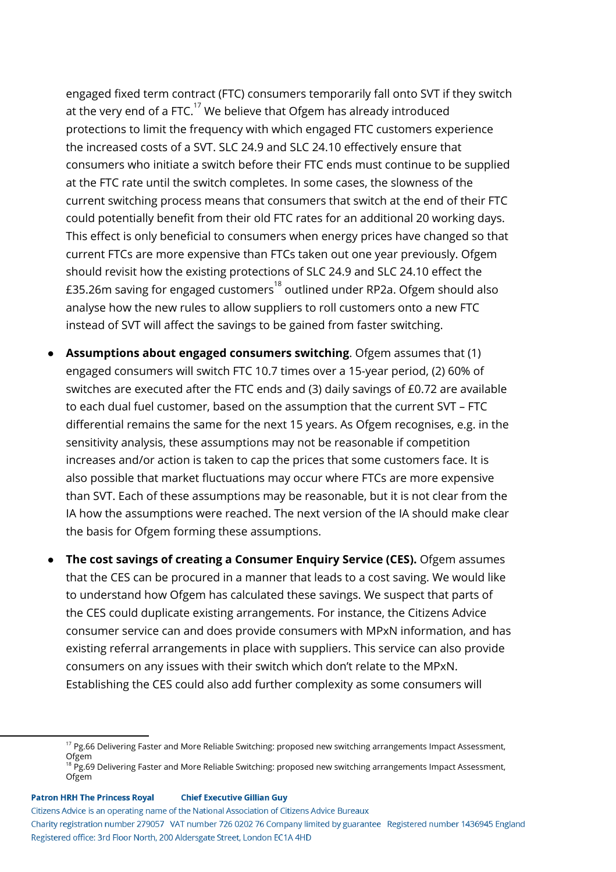engaged fixed term contract (FTC) consumers temporarily fall onto SVT if they switch at the very end of a FTC. $^{17}$  We believe that Ofgem has already introduced protections to limit the frequency with which engaged FTC customers experience the increased costs of a SVT. SLC 24.9 and SLC 24.10 effectively ensure that consumers who initiate a switch before their FTC ends must continue to be supplied at the FTC rate until the switch completes. In some cases, the slowness of the current switching process means that consumers that switch at the end of their FTC could potentially benefit from their old FTC rates for an additional 20 working days. This effect is only beneficial to consumers when energy prices have changed so that current FTCs are more expensive than FTCs taken out one year previously. Ofgem should revisit how the existing protections of SLC 24.9 and SLC 24.10 effect the £35.26m saving for engaged customers $^{\rm 18}$  outlined under RP2a. Ofgem should also analyse how the new rules to allow suppliers to roll customers onto a new FTC instead of SVT will affect the savings to be gained from faster switching.

- **Assumptions about engaged consumers switching**. Ofgem assumes that (1) engaged consumers will switch FTC 10.7 times over a 15-year period, (2) 60% of switches are executed after the FTC ends and (3) daily savings of £0.72 are available to each dual fuel customer, based on the assumption that the current SVT – FTC differential remains the same for the next 15 years. As Ofgem recognises, e.g. in the sensitivity analysis, these assumptions may not be reasonable if competition increases and/or action is taken to cap the prices that some customers face. It is also possible that market fluctuations may occur where FTCs are more expensive than SVT. Each of these assumptions may be reasonable, but it is not clear from the IA how the assumptions were reached. The next version of the IA should make clear the basis for Ofgem forming these assumptions.
- **The cost savings of creating a Consumer Enquiry Service (CES).** Ofgem assumes that the CES can be procured in a manner that leads to a cost saving. We would like to understand how Ofgem has calculated these savings. We suspect that parts of the CES could duplicate existing arrangements. For instance, the Citizens Advice consumer service can and does provide consumers with MPxN information, and has existing referral arrangements in place with suppliers. This service can also provide consumers on any issues with their switch which don't relate to the MPxN. Establishing the CES could also add further complexity as some consumers will

#### **Patron HRH The Princess Royal Chief Executive Gillian Guy**

Citizens Advice is an operating name of the National Association of Citizens Advice Bureaux

<sup>&</sup>lt;sup>17</sup> Pg.66 Delivering Faster and More Reliable Switching: proposed new switching arrangements Impact Assessment, **Ofgem** 

 $\frac{3}{8}$  Pg.69 Delivering Faster and More Reliable Switching: proposed new switching arrangements Impact Assessment, Ofgem